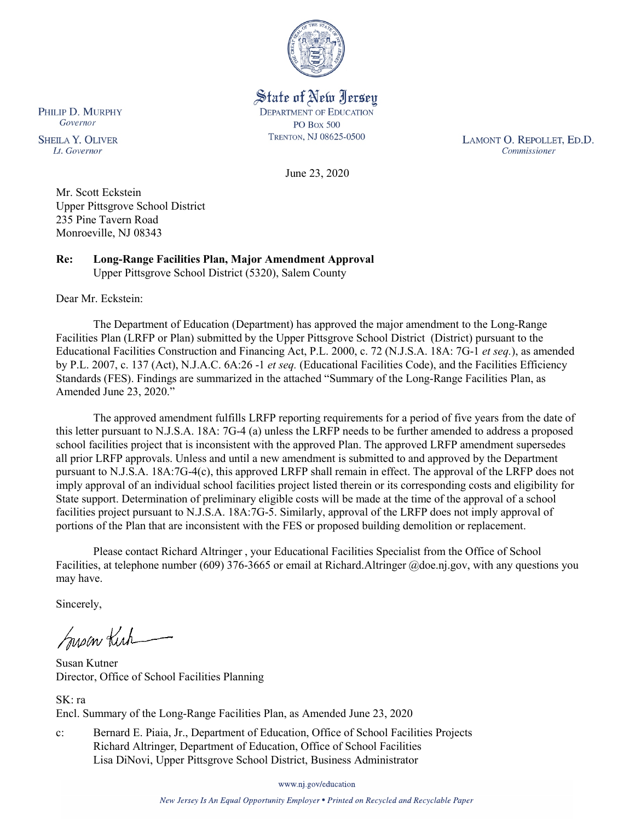

State of New Jersey **DEPARTMENT OF EDUCATION PO Box 500** TRENTON, NJ 08625-0500

LAMONT O. REPOLLET, ED.D. Commissioner

June 23, 2020

Mr. Scott Eckstein Upper Pittsgrove School District 235 Pine Tavern Road Monroeville, NJ 08343

**Re: Long-Range Facilities Plan, Major Amendment Approval** Upper Pittsgrove School District (5320), Salem County

Dear Mr. Eckstein:

The Department of Education (Department) has approved the major amendment to the Long-Range Facilities Plan (LRFP or Plan) submitted by the Upper Pittsgrove School District (District) pursuant to the Educational Facilities Construction and Financing Act, P.L. 2000, c. 72 (N.J.S.A. 18A: 7G-1 *et seq.*), as amended by P.L. 2007, c. 137 (Act), N.J.A.C. 6A:26 -1 *et seq.* (Educational Facilities Code), and the Facilities Efficiency Standards (FES). Findings are summarized in the attached "Summary of the Long-Range Facilities Plan, as Amended June 23, 2020."

The approved amendment fulfills LRFP reporting requirements for a period of five years from the date of this letter pursuant to N.J.S.A. 18A: 7G-4 (a) unless the LRFP needs to be further amended to address a proposed school facilities project that is inconsistent with the approved Plan. The approved LRFP amendment supersedes all prior LRFP approvals. Unless and until a new amendment is submitted to and approved by the Department pursuant to N.J.S.A. 18A:7G-4(c), this approved LRFP shall remain in effect. The approval of the LRFP does not imply approval of an individual school facilities project listed therein or its corresponding costs and eligibility for State support. Determination of preliminary eligible costs will be made at the time of the approval of a school facilities project pursuant to N.J.S.A. 18A:7G-5. Similarly, approval of the LRFP does not imply approval of portions of the Plan that are inconsistent with the FES or proposed building demolition or replacement.

Please contact Richard Altringer , your Educational Facilities Specialist from the Office of School Facilities, at telephone number (609) 376-3665 or email at Richard.Altringer @doe.nj.gov, with any questions you may have.

Sincerely,

Suson Kich

Susan Kutner Director, Office of School Facilities Planning

SK: ra Encl. Summary of the Long-Range Facilities Plan, as Amended June 23, 2020

c: Bernard E. Piaia, Jr., Department of Education, Office of School Facilities Projects Richard Altringer, Department of Education, Office of School Facilities Lisa DiNovi, Upper Pittsgrove School District, Business Administrator

www.nj.gov/education

New Jersey Is An Equal Opportunity Employer . Printed on Recycled and Recyclable Paper

PHILIP D. MURPHY Governor

**SHEILA Y. OLIVER** Lt. Governor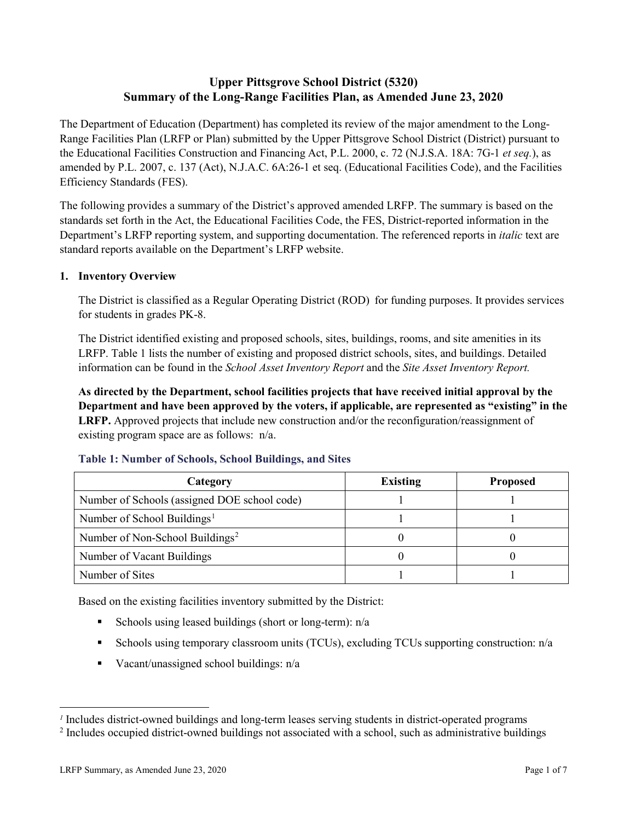# **Upper Pittsgrove School District (5320) Summary of the Long-Range Facilities Plan, as Amended June 23, 2020**

The Department of Education (Department) has completed its review of the major amendment to the Long-Range Facilities Plan (LRFP or Plan) submitted by the Upper Pittsgrove School District (District) pursuant to the Educational Facilities Construction and Financing Act, P.L. 2000, c. 72 (N.J.S.A. 18A: 7G-1 *et seq.*), as amended by P.L. 2007, c. 137 (Act), N.J.A.C. 6A:26-1 et seq. (Educational Facilities Code), and the Facilities Efficiency Standards (FES).

The following provides a summary of the District's approved amended LRFP. The summary is based on the standards set forth in the Act, the Educational Facilities Code, the FES, District-reported information in the Department's LRFP reporting system, and supporting documentation. The referenced reports in *italic* text are standard reports available on the Department's LRFP website.

# **1. Inventory Overview**

The District is classified as a Regular Operating District (ROD) for funding purposes. It provides services for students in grades PK-8.

The District identified existing and proposed schools, sites, buildings, rooms, and site amenities in its LRFP. Table 1 lists the number of existing and proposed district schools, sites, and buildings. Detailed information can be found in the *School Asset Inventory Report* and the *Site Asset Inventory Report.*

**As directed by the Department, school facilities projects that have received initial approval by the Department and have been approved by the voters, if applicable, are represented as "existing" in the LRFP.** Approved projects that include new construction and/or the reconfiguration/reassignment of existing program space are as follows: n/a.

| Category                                     | <b>Existing</b> | <b>Proposed</b> |
|----------------------------------------------|-----------------|-----------------|
| Number of Schools (assigned DOE school code) |                 |                 |
| Number of School Buildings <sup>1</sup>      |                 |                 |
| Number of Non-School Buildings <sup>2</sup>  |                 |                 |
| Number of Vacant Buildings                   |                 |                 |
| Number of Sites                              |                 |                 |

#### **Table 1: Number of Schools, School Buildings, and Sites**

Based on the existing facilities inventory submitted by the District:

- Schools using leased buildings (short or long-term):  $n/a$
- Schools using temporary classroom units (TCUs), excluding TCUs supporting construction: n/a
- Vacant/unassigned school buildings:  $n/a$

 $\overline{a}$ 

<span id="page-1-0"></span>*<sup>1</sup>* Includes district-owned buildings and long-term leases serving students in district-operated programs

<span id="page-1-1"></span><sup>&</sup>lt;sup>2</sup> Includes occupied district-owned buildings not associated with a school, such as administrative buildings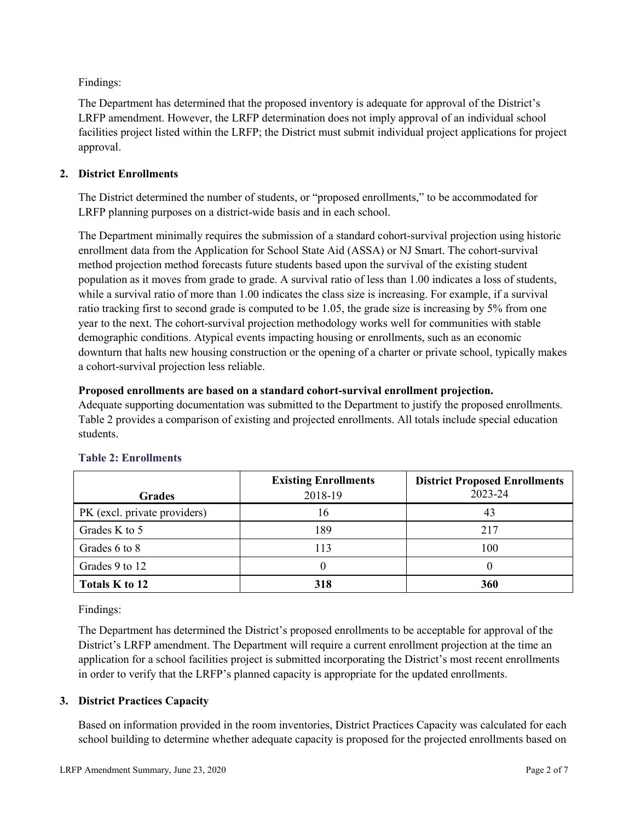Findings:

The Department has determined that the proposed inventory is adequate for approval of the District's LRFP amendment. However, the LRFP determination does not imply approval of an individual school facilities project listed within the LRFP; the District must submit individual project applications for project approval.

# **2. District Enrollments**

The District determined the number of students, or "proposed enrollments," to be accommodated for LRFP planning purposes on a district-wide basis and in each school.

The Department minimally requires the submission of a standard cohort-survival projection using historic enrollment data from the Application for School State Aid (ASSA) or NJ Smart. The cohort-survival method projection method forecasts future students based upon the survival of the existing student population as it moves from grade to grade. A survival ratio of less than 1.00 indicates a loss of students, while a survival ratio of more than 1.00 indicates the class size is increasing. For example, if a survival ratio tracking first to second grade is computed to be 1.05, the grade size is increasing by 5% from one year to the next. The cohort-survival projection methodology works well for communities with stable demographic conditions. Atypical events impacting housing or enrollments, such as an economic downturn that halts new housing construction or the opening of a charter or private school, typically makes a cohort-survival projection less reliable.

### **Proposed enrollments are based on a standard cohort-survival enrollment projection.**

Adequate supporting documentation was submitted to the Department to justify the proposed enrollments. Table 2 provides a comparison of existing and projected enrollments. All totals include special education students.

|                              | <b>Existing Enrollments</b> | <b>District Proposed Enrollments</b> |
|------------------------------|-----------------------------|--------------------------------------|
| <b>Grades</b>                | 2018-19                     | 2023-24                              |
| PK (excl. private providers) | 16                          | 43                                   |
| Grades K to 5                | 189                         | 217                                  |
| Grades 6 to 8                | 113                         | 100                                  |
| Grades 9 to 12               |                             |                                      |
| Totals K to 12               | 318                         | 360                                  |

# **Table 2: Enrollments**

Findings:

The Department has determined the District's proposed enrollments to be acceptable for approval of the District's LRFP amendment. The Department will require a current enrollment projection at the time an application for a school facilities project is submitted incorporating the District's most recent enrollments in order to verify that the LRFP's planned capacity is appropriate for the updated enrollments.

# **3. District Practices Capacity**

Based on information provided in the room inventories, District Practices Capacity was calculated for each school building to determine whether adequate capacity is proposed for the projected enrollments based on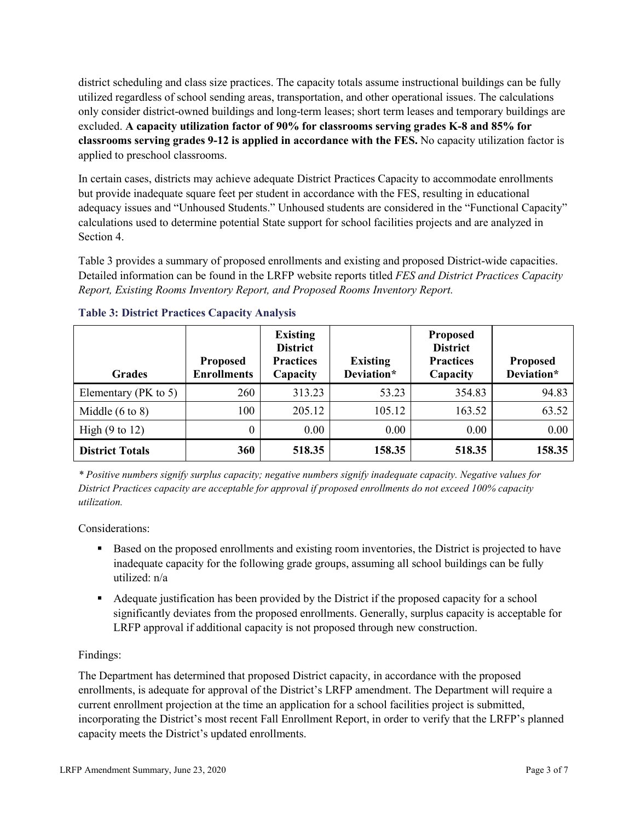district scheduling and class size practices. The capacity totals assume instructional buildings can be fully utilized regardless of school sending areas, transportation, and other operational issues. The calculations only consider district-owned buildings and long-term leases; short term leases and temporary buildings are excluded. **A capacity utilization factor of 90% for classrooms serving grades K-8 and 85% for classrooms serving grades 9-12 is applied in accordance with the FES.** No capacity utilization factor is applied to preschool classrooms.

In certain cases, districts may achieve adequate District Practices Capacity to accommodate enrollments but provide inadequate square feet per student in accordance with the FES, resulting in educational adequacy issues and "Unhoused Students." Unhoused students are considered in the "Functional Capacity" calculations used to determine potential State support for school facilities projects and are analyzed in Section 4.

Table 3 provides a summary of proposed enrollments and existing and proposed District-wide capacities. Detailed information can be found in the LRFP website reports titled *FES and District Practices Capacity Report, Existing Rooms Inventory Report, and Proposed Rooms Inventory Report.*

| <b>Grades</b>              | <b>Proposed</b><br><b>Enrollments</b> | <b>Existing</b><br><b>District</b><br><b>Practices</b><br>Capacity | <b>Existing</b><br>Deviation* | <b>Proposed</b><br><b>District</b><br><b>Practices</b><br>Capacity | <b>Proposed</b><br>Deviation* |
|----------------------------|---------------------------------------|--------------------------------------------------------------------|-------------------------------|--------------------------------------------------------------------|-------------------------------|
| Elementary ( $PK$ to 5)    | 260                                   | 313.23                                                             | 53.23                         | 354.83                                                             | 94.83                         |
| Middle $(6 \text{ to } 8)$ | 100                                   | 205.12                                                             | 105.12                        | 163.52                                                             | 63.52                         |
| High $(9 \text{ to } 12)$  | $\theta$                              | 0.00                                                               | 0.00                          | 0.00                                                               | 0.00                          |
| <b>District Totals</b>     | 360                                   | 518.35                                                             | 158.35                        | 518.35                                                             | 158.35                        |

# **Table 3: District Practices Capacity Analysis**

*\* Positive numbers signify surplus capacity; negative numbers signify inadequate capacity. Negative values for District Practices capacity are acceptable for approval if proposed enrollments do not exceed 100% capacity utilization.*

Considerations:

- Based on the proposed enrollments and existing room inventories, the District is projected to have inadequate capacity for the following grade groups, assuming all school buildings can be fully utilized: n/a
- Adequate justification has been provided by the District if the proposed capacity for a school significantly deviates from the proposed enrollments. Generally, surplus capacity is acceptable for LRFP approval if additional capacity is not proposed through new construction.

# Findings:

The Department has determined that proposed District capacity, in accordance with the proposed enrollments, is adequate for approval of the District's LRFP amendment. The Department will require a current enrollment projection at the time an application for a school facilities project is submitted, incorporating the District's most recent Fall Enrollment Report, in order to verify that the LRFP's planned capacity meets the District's updated enrollments.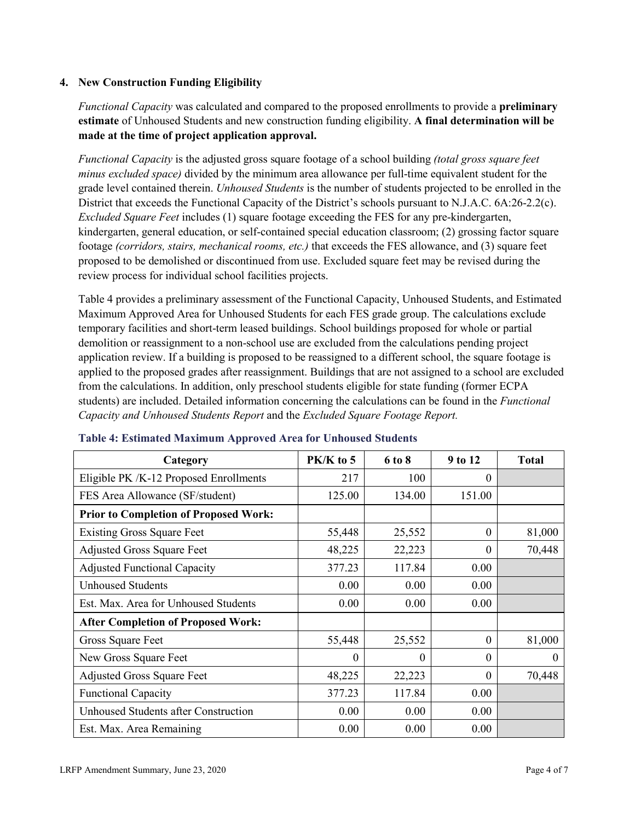# **4. New Construction Funding Eligibility**

*Functional Capacity* was calculated and compared to the proposed enrollments to provide a **preliminary estimate** of Unhoused Students and new construction funding eligibility. **A final determination will be made at the time of project application approval.**

*Functional Capacity* is the adjusted gross square footage of a school building *(total gross square feet minus excluded space)* divided by the minimum area allowance per full-time equivalent student for the grade level contained therein. *Unhoused Students* is the number of students projected to be enrolled in the District that exceeds the Functional Capacity of the District's schools pursuant to N.J.A.C. 6A:26-2.2(c). *Excluded Square Feet* includes (1) square footage exceeding the FES for any pre-kindergarten, kindergarten, general education, or self-contained special education classroom; (2) grossing factor square footage *(corridors, stairs, mechanical rooms, etc.)* that exceeds the FES allowance, and (3) square feet proposed to be demolished or discontinued from use. Excluded square feet may be revised during the review process for individual school facilities projects.

Table 4 provides a preliminary assessment of the Functional Capacity, Unhoused Students, and Estimated Maximum Approved Area for Unhoused Students for each FES grade group. The calculations exclude temporary facilities and short-term leased buildings. School buildings proposed for whole or partial demolition or reassignment to a non-school use are excluded from the calculations pending project application review. If a building is proposed to be reassigned to a different school, the square footage is applied to the proposed grades after reassignment. Buildings that are not assigned to a school are excluded from the calculations. In addition, only preschool students eligible for state funding (former ECPA students) are included. Detailed information concerning the calculations can be found in the *Functional Capacity and Unhoused Students Report* and the *Excluded Square Footage Report.*

| Category                                     | $PK/K$ to 5 | 6 to 8   | 9 to 12  | <b>Total</b> |
|----------------------------------------------|-------------|----------|----------|--------------|
| Eligible PK /K-12 Proposed Enrollments       | 217         | 100      | 0        |              |
| FES Area Allowance (SF/student)              | 125.00      | 134.00   | 151.00   |              |
| <b>Prior to Completion of Proposed Work:</b> |             |          |          |              |
| <b>Existing Gross Square Feet</b>            | 55,448      | 25,552   | $\theta$ | 81,000       |
| <b>Adjusted Gross Square Feet</b>            | 48,225      | 22,223   | $\theta$ | 70,448       |
| <b>Adjusted Functional Capacity</b>          | 377.23      | 117.84   | 0.00     |              |
| <b>Unhoused Students</b>                     | 0.00        | 0.00     | 0.00     |              |
| Est. Max. Area for Unhoused Students         | 0.00        | 0.00     | 0.00     |              |
| <b>After Completion of Proposed Work:</b>    |             |          |          |              |
| Gross Square Feet                            | 55,448      | 25,552   | $\theta$ | 81,000       |
| New Gross Square Feet                        | $\theta$    | $\Omega$ | $\theta$ | $\Omega$     |
| <b>Adjusted Gross Square Feet</b>            | 48,225      | 22,223   | $\Omega$ | 70,448       |
| <b>Functional Capacity</b>                   | 377.23      | 117.84   | 0.00     |              |
| Unhoused Students after Construction         | 0.00        | 0.00     | 0.00     |              |
| Est. Max. Area Remaining                     | 0.00        | 0.00     | 0.00     |              |

#### **Table 4: Estimated Maximum Approved Area for Unhoused Students**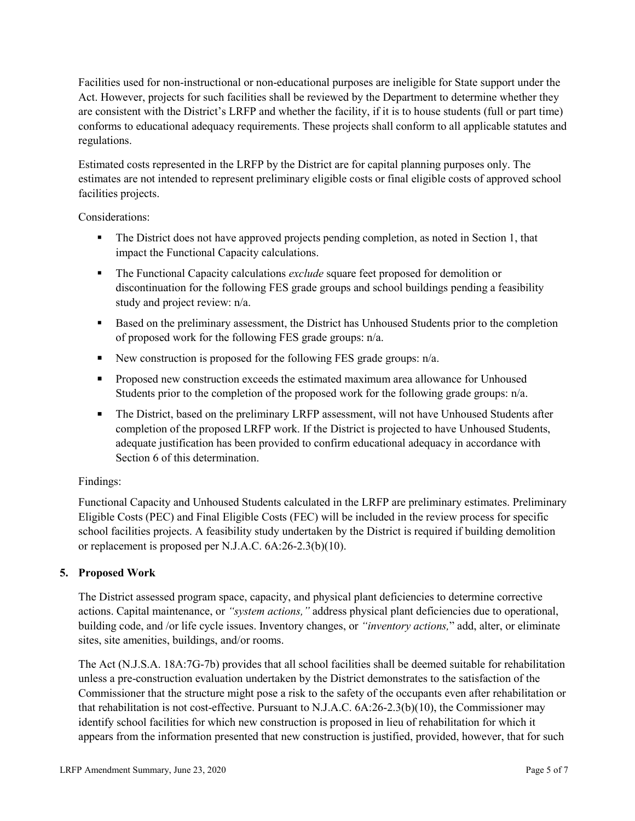Facilities used for non-instructional or non-educational purposes are ineligible for State support under the Act. However, projects for such facilities shall be reviewed by the Department to determine whether they are consistent with the District's LRFP and whether the facility, if it is to house students (full or part time) conforms to educational adequacy requirements. These projects shall conform to all applicable statutes and regulations.

Estimated costs represented in the LRFP by the District are for capital planning purposes only. The estimates are not intended to represent preliminary eligible costs or final eligible costs of approved school facilities projects.

Considerations:

- The District does not have approved projects pending completion, as noted in Section 1, that impact the Functional Capacity calculations.
- **The Functional Capacity calculations** *exclude* square feet proposed for demolition or discontinuation for the following FES grade groups and school buildings pending a feasibility study and project review: n/a.
- Based on the preliminary assessment, the District has Unhoused Students prior to the completion of proposed work for the following FES grade groups: n/a.
- New construction is proposed for the following FES grade groups: n/a.
- Proposed new construction exceeds the estimated maximum area allowance for Unhoused Students prior to the completion of the proposed work for the following grade groups: n/a.
- The District, based on the preliminary LRFP assessment, will not have Unhoused Students after completion of the proposed LRFP work. If the District is projected to have Unhoused Students, adequate justification has been provided to confirm educational adequacy in accordance with Section 6 of this determination.

# Findings:

Functional Capacity and Unhoused Students calculated in the LRFP are preliminary estimates. Preliminary Eligible Costs (PEC) and Final Eligible Costs (FEC) will be included in the review process for specific school facilities projects. A feasibility study undertaken by the District is required if building demolition or replacement is proposed per N.J.A.C. 6A:26-2.3(b)(10).

# **5. Proposed Work**

The District assessed program space, capacity, and physical plant deficiencies to determine corrective actions. Capital maintenance, or *"system actions,"* address physical plant deficiencies due to operational, building code, and /or life cycle issues. Inventory changes, or *"inventory actions,*" add, alter, or eliminate sites, site amenities, buildings, and/or rooms.

The Act (N.J.S.A. 18A:7G-7b) provides that all school facilities shall be deemed suitable for rehabilitation unless a pre-construction evaluation undertaken by the District demonstrates to the satisfaction of the Commissioner that the structure might pose a risk to the safety of the occupants even after rehabilitation or that rehabilitation is not cost-effective. Pursuant to N.J.A.C. 6A:26-2.3(b)(10), the Commissioner may identify school facilities for which new construction is proposed in lieu of rehabilitation for which it appears from the information presented that new construction is justified, provided, however, that for such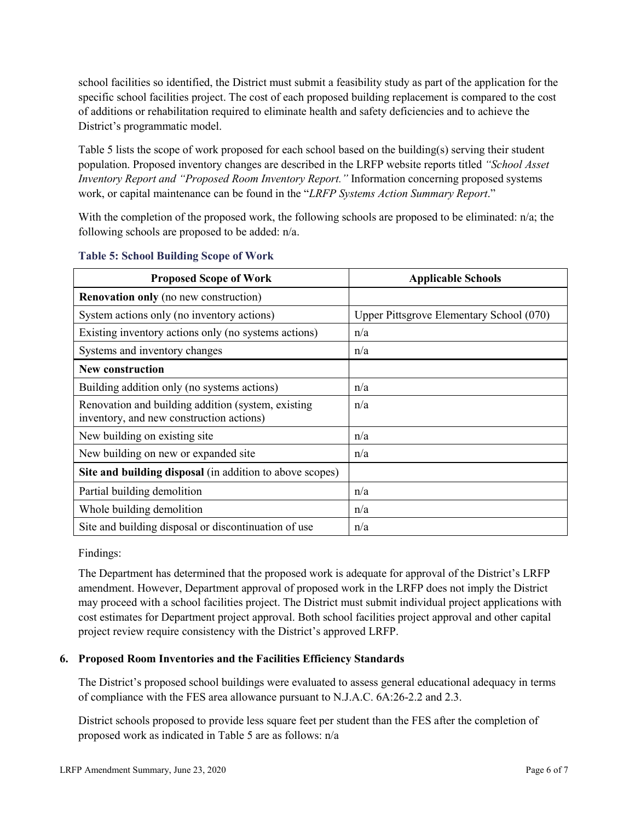school facilities so identified, the District must submit a feasibility study as part of the application for the specific school facilities project. The cost of each proposed building replacement is compared to the cost of additions or rehabilitation required to eliminate health and safety deficiencies and to achieve the District's programmatic model.

Table 5 lists the scope of work proposed for each school based on the building(s) serving their student population. Proposed inventory changes are described in the LRFP website reports titled *"School Asset Inventory Report and "Proposed Room Inventory Report."* Information concerning proposed systems work, or capital maintenance can be found in the "*LRFP Systems Action Summary Report*."

With the completion of the proposed work, the following schools are proposed to be eliminated: n/a; the following schools are proposed to be added: n/a.

| <b>Proposed Scope of Work</b>                                                                  | <b>Applicable Schools</b>                |
|------------------------------------------------------------------------------------------------|------------------------------------------|
| <b>Renovation only</b> (no new construction)                                                   |                                          |
| System actions only (no inventory actions)                                                     | Upper Pittsgrove Elementary School (070) |
| Existing inventory actions only (no systems actions)                                           | n/a                                      |
| Systems and inventory changes                                                                  | n/a                                      |
| <b>New construction</b>                                                                        |                                          |
| Building addition only (no systems actions)                                                    | n/a                                      |
| Renovation and building addition (system, existing<br>inventory, and new construction actions) | n/a                                      |
| New building on existing site                                                                  | n/a                                      |
| New building on new or expanded site                                                           | n/a                                      |
| Site and building disposal (in addition to above scopes)                                       |                                          |
| Partial building demolition                                                                    | n/a                                      |
| Whole building demolition                                                                      | n/a                                      |
| Site and building disposal or discontinuation of use                                           | n/a                                      |

### **Table 5: School Building Scope of Work**

Findings:

The Department has determined that the proposed work is adequate for approval of the District's LRFP amendment. However, Department approval of proposed work in the LRFP does not imply the District may proceed with a school facilities project. The District must submit individual project applications with cost estimates for Department project approval. Both school facilities project approval and other capital project review require consistency with the District's approved LRFP.

# **6. Proposed Room Inventories and the Facilities Efficiency Standards**

The District's proposed school buildings were evaluated to assess general educational adequacy in terms of compliance with the FES area allowance pursuant to N.J.A.C. 6A:26-2.2 and 2.3.

District schools proposed to provide less square feet per student than the FES after the completion of proposed work as indicated in Table 5 are as follows: n/a